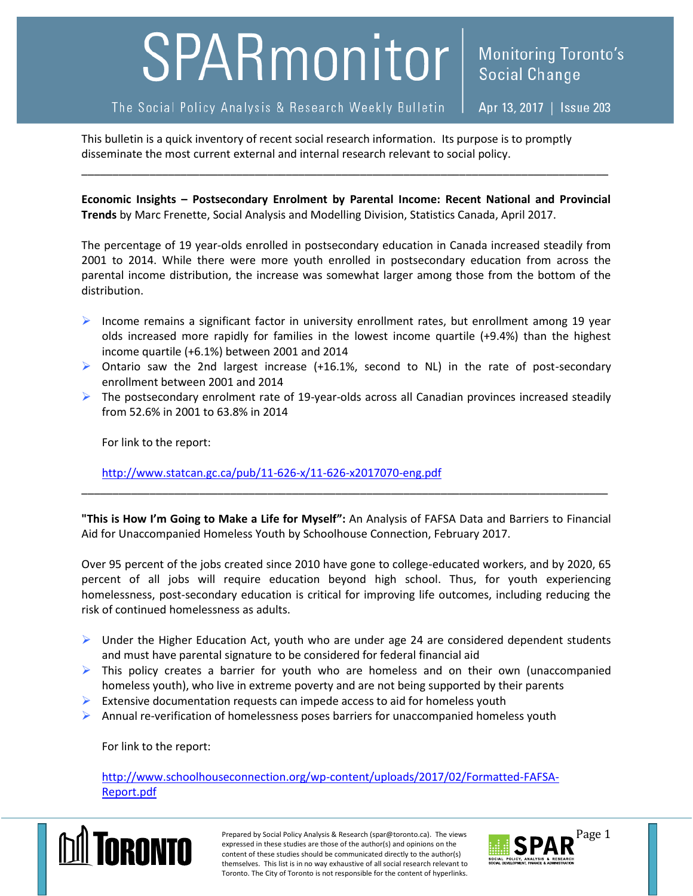## SPARmonitor

## The Social Policy Analysis & Research Weekly Bulletin

Apr 13, 2017 | Issue 203

This bulletin is a quick inventory of recent social research information. Its purpose is to promptly disseminate the most current external and internal research relevant to social policy.

**Economic Insights – Postsecondary Enrolment by Parental Income: Recent National and Provincial Trends** by Marc Frenette, Social Analysis and Modelling Division, Statistics Canada, April 2017.

\_\_\_\_\_\_\_\_\_\_\_\_\_\_\_\_\_\_\_\_\_\_\_\_\_\_\_\_\_\_\_\_\_\_\_\_\_\_\_\_\_\_\_\_\_\_\_\_\_\_\_\_\_\_\_\_\_\_\_\_\_\_\_\_\_\_\_\_\_\_\_\_\_\_\_\_\_\_\_\_\_\_\_\_\_

The percentage of 19 year-olds enrolled in postsecondary education in Canada increased steadily from 2001 to 2014. While there were more youth enrolled in postsecondary education from across the parental income distribution, the increase was somewhat larger among those from the bottom of the distribution.

- Income remains a significant factor in university enrollment rates, but enrollment among 19 year olds increased more rapidly for families in the lowest income quartile (+9.4%) than the highest income quartile (+6.1%) between 2001 and 2014
- $\triangleright$  Ontario saw the 2nd largest increase (+16.1%, second to NL) in the rate of post-secondary enrollment between 2001 and 2014
- $\triangleright$  The postsecondary enrolment rate of 19-year-olds across all Canadian provinces increased steadily from 52.6% in 2001 to 63.8% in 2014

For link to the report:

<http://www.statcan.gc.ca/pub/11-626-x/11-626-x2017070-eng.pdf>

**"This is How I'm Going to Make a Life for Myself":** An Analysis of FAFSA Data and Barriers to Financial Aid for Unaccompanied Homeless Youth by Schoolhouse Connection, February 2017.

\_\_\_\_\_\_\_\_\_\_\_\_\_\_\_\_\_\_\_\_\_\_\_\_\_\_\_\_\_\_\_\_\_\_\_\_\_\_\_\_\_\_\_\_\_\_\_\_\_\_\_\_\_\_\_\_\_\_\_\_\_\_\_\_\_\_\_\_\_\_\_\_\_\_\_\_\_\_\_\_\_\_\_\_\_

Over 95 percent of the jobs created since 2010 have gone to college-educated workers, and by 2020, 65 percent of all jobs will require education beyond high school. Thus, for youth experiencing homelessness, post-secondary education is critical for improving life outcomes, including reducing the risk of continued homelessness as adults.

- $\triangleright$  Under the Higher Education Act, youth who are under age 24 are considered dependent students and must have parental signature to be considered for federal financial aid
- $\triangleright$  This policy creates a barrier for youth who are homeless and on their own (unaccompanied homeless youth), who live in extreme poverty and are not being supported by their parents
- $\triangleright$  Extensive documentation requests can impede access to aid for homeless youth
- $\triangleright$  Annual re-verification of homelessness poses barriers for unaccompanied homeless youth

For link to the report:

[http://www.schoolhouseconnection.org/wp-content/uploads/2017/02/Formatted-FAFSA-](http://www.schoolhouseconnection.org/wp-content/uploads/2017/02/Formatted-FAFSA-Report.pdf)[Report.pdf](http://www.schoolhouseconnection.org/wp-content/uploads/2017/02/Formatted-FAFSA-Report.pdf)



Prepared by Social Policy Analysis & Research (spar@toronto.ca). The views Page 1 expressed in these studies are those of the author(s) and opinions on the content of these studies should be communicated directly to the author(s) themselves. This list is in no way exhaustive of all social research relevant to Toronto. The City of Toronto is not responsible for the content of hyperlinks.

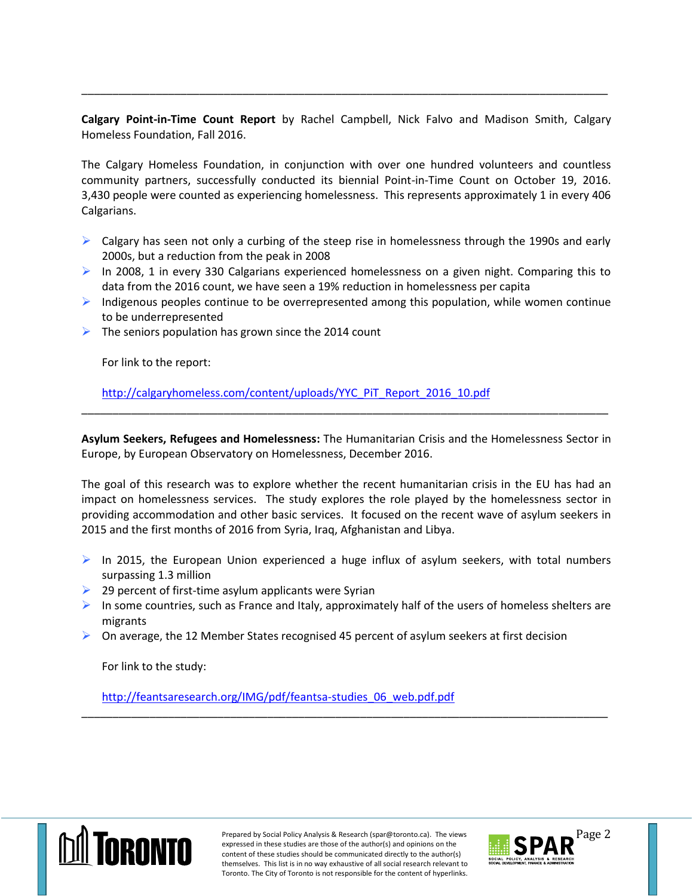**Calgary Point-in-Time Count Report** by Rachel Campbell, Nick Falvo and Madison Smith, Calgary Homeless Foundation, Fall 2016.

\_\_\_\_\_\_\_\_\_\_\_\_\_\_\_\_\_\_\_\_\_\_\_\_\_\_\_\_\_\_\_\_\_\_\_\_\_\_\_\_\_\_\_\_\_\_\_\_\_\_\_\_\_\_\_\_\_\_\_\_\_\_\_\_\_\_\_\_\_\_\_\_\_\_\_\_\_\_\_\_\_\_\_\_\_

The Calgary Homeless Foundation, in conjunction with over one hundred volunteers and countless community partners, successfully conducted its biennial Point-in-Time Count on October 19, 2016. 3,430 people were counted as experiencing homelessness. This represents approximately 1 in every 406 Calgarians.

- $\triangleright$  Calgary has seen not only a curbing of the steep rise in homelessness through the 1990s and early 2000s, but a reduction from the peak in 2008
- $\triangleright$  In 2008, 1 in every 330 Calgarians experienced homelessness on a given night. Comparing this to data from the 2016 count, we have seen a 19% reduction in homelessness per capita
- $\triangleright$  Indigenous peoples continue to be overrepresented among this population, while women continue to be underrepresented
- $\triangleright$  The seniors population has grown since the 2014 count

For link to the report:

[http://calgaryhomeless.com/content/uploads/YYC\\_PiT\\_Report\\_2016\\_10.pdf](http://calgaryhomeless.com/content/uploads/YYC_PiT_Report_2016_10.pdf)

**Asylum Seekers, Refugees and Homelessness:** The Humanitarian Crisis and the Homelessness Sector in Europe, by European Observatory on Homelessness, December 2016.

\_\_\_\_\_\_\_\_\_\_\_\_\_\_\_\_\_\_\_\_\_\_\_\_\_\_\_\_\_\_\_\_\_\_\_\_\_\_\_\_\_\_\_\_\_\_\_\_\_\_\_\_\_\_\_\_\_\_\_\_\_\_\_\_\_\_\_\_\_\_\_\_\_\_\_\_\_\_\_\_\_\_\_\_\_

The goal of this research was to explore whether the recent humanitarian crisis in the EU has had an impact on homelessness services. The study explores the role played by the homelessness sector in providing accommodation and other basic services. It focused on the recent wave of asylum seekers in 2015 and the first months of 2016 from Syria, Iraq, Afghanistan and Libya.

- $\triangleright$  In 2015, the European Union experienced a huge influx of asylum seekers, with total numbers surpassing 1.3 million
- $\triangleright$  29 percent of first-time asylum applicants were Syrian
- In some countries, such as France and Italy, approximately half of the users of homeless shelters are migrants

\_\_\_\_\_\_\_\_\_\_\_\_\_\_\_\_\_\_\_\_\_\_\_\_\_\_\_\_\_\_\_\_\_\_\_\_\_\_\_\_\_\_\_\_\_\_\_\_\_\_\_\_\_\_\_\_\_\_\_\_\_\_\_\_\_\_\_\_\_\_\_\_\_\_\_\_\_\_\_\_\_\_\_\_\_

 $\triangleright$  On average, the 12 Member States recognised 45 percent of asylum seekers at first decision

For link to the study:

[http://feantsaresearch.org/IMG/pdf/feantsa-studies\\_06\\_web.pdf.pdf](http://feantsaresearch.org/IMG/pdf/feantsa-studies_06_web.pdf.pdf)